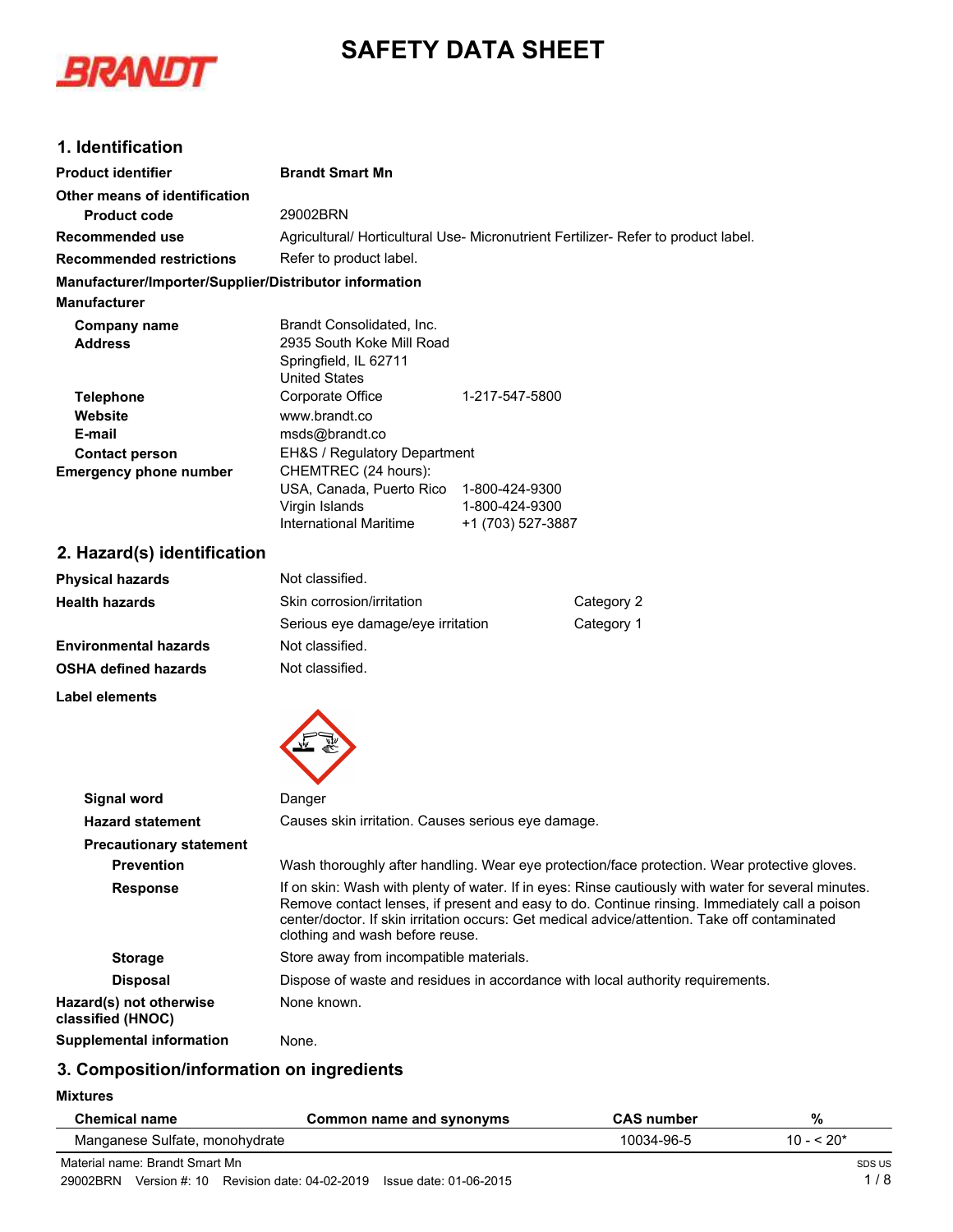# **SAFETY DATA SHEET**



# **1. Identification**

| <b>Product identifier</b>                              | <b>Brandt Smart Mn</b>                                                                                                                                                                                                                                                                                                                   |                                     |                                                                                              |  |
|--------------------------------------------------------|------------------------------------------------------------------------------------------------------------------------------------------------------------------------------------------------------------------------------------------------------------------------------------------------------------------------------------------|-------------------------------------|----------------------------------------------------------------------------------------------|--|
| Other means of identification                          |                                                                                                                                                                                                                                                                                                                                          |                                     |                                                                                              |  |
| <b>Product code</b>                                    | 29002BRN                                                                                                                                                                                                                                                                                                                                 |                                     |                                                                                              |  |
| Recommended use                                        | Agricultural/ Horticultural Use- Micronutrient Fertilizer- Refer to product label.                                                                                                                                                                                                                                                       |                                     |                                                                                              |  |
| <b>Recommended restrictions</b>                        | Refer to product label.                                                                                                                                                                                                                                                                                                                  |                                     |                                                                                              |  |
| Manufacturer/Importer/Supplier/Distributor information |                                                                                                                                                                                                                                                                                                                                          |                                     |                                                                                              |  |
| <b>Manufacturer</b>                                    |                                                                                                                                                                                                                                                                                                                                          |                                     |                                                                                              |  |
| <b>Company name</b>                                    | Brandt Consolidated, Inc.                                                                                                                                                                                                                                                                                                                |                                     |                                                                                              |  |
| <b>Address</b>                                         | 2935 South Koke Mill Road<br>Springfield, IL 62711<br><b>United States</b>                                                                                                                                                                                                                                                               |                                     |                                                                                              |  |
| <b>Telephone</b>                                       | Corporate Office                                                                                                                                                                                                                                                                                                                         | 1-217-547-5800                      |                                                                                              |  |
| Website                                                | www.brandt.co                                                                                                                                                                                                                                                                                                                            |                                     |                                                                                              |  |
| E-mail                                                 | msds@brandt.co                                                                                                                                                                                                                                                                                                                           |                                     |                                                                                              |  |
| <b>Contact person</b>                                  | EH&S / Regulatory Department                                                                                                                                                                                                                                                                                                             |                                     |                                                                                              |  |
| <b>Emergency phone number</b>                          | CHEMTREC (24 hours):<br>USA, Canada, Puerto Rico 1-800-424-9300<br>Virgin Islands<br><b>International Maritime</b>                                                                                                                                                                                                                       | 1-800-424-9300<br>+1 (703) 527-3887 |                                                                                              |  |
| 2. Hazard(s) identification                            |                                                                                                                                                                                                                                                                                                                                          |                                     |                                                                                              |  |
| <b>Physical hazards</b>                                | Not classified.                                                                                                                                                                                                                                                                                                                          |                                     |                                                                                              |  |
| <b>Health hazards</b>                                  | Skin corrosion/irritation                                                                                                                                                                                                                                                                                                                |                                     | Category 2                                                                                   |  |
|                                                        | Serious eye damage/eye irritation                                                                                                                                                                                                                                                                                                        |                                     | Category 1                                                                                   |  |
| <b>Environmental hazards</b>                           | Not classified.                                                                                                                                                                                                                                                                                                                          |                                     |                                                                                              |  |
| <b>OSHA defined hazards</b>                            | Not classified.                                                                                                                                                                                                                                                                                                                          |                                     |                                                                                              |  |
| Label elements                                         |                                                                                                                                                                                                                                                                                                                                          |                                     |                                                                                              |  |
|                                                        |                                                                                                                                                                                                                                                                                                                                          |                                     |                                                                                              |  |
| <b>Signal word</b>                                     | Danger                                                                                                                                                                                                                                                                                                                                   |                                     |                                                                                              |  |
| <b>Hazard statement</b>                                | Causes skin irritation. Causes serious eye damage.                                                                                                                                                                                                                                                                                       |                                     |                                                                                              |  |
| <b>Precautionary statement</b>                         |                                                                                                                                                                                                                                                                                                                                          |                                     |                                                                                              |  |
| <b>Prevention</b>                                      |                                                                                                                                                                                                                                                                                                                                          |                                     | Wash thoroughly after handling. Wear eye protection/face protection. Wear protective gloves. |  |
| <b>Response</b>                                        | If on skin: Wash with plenty of water. If in eyes: Rinse cautiously with water for several minutes.<br>Remove contact lenses, if present and easy to do. Continue rinsing. Immediately call a poison<br>center/doctor. If skin irritation occurs: Get medical advice/attention. Take off contaminated<br>clothing and wash before reuse. |                                     |                                                                                              |  |
| <b>Storage</b>                                         | Store away from incompatible materials.                                                                                                                                                                                                                                                                                                  |                                     |                                                                                              |  |
| <b>Disposal</b>                                        | Dispose of waste and residues in accordance with local authority requirements.                                                                                                                                                                                                                                                           |                                     |                                                                                              |  |

**Supplemental information** None.

**Hazard(s) not otherwise classified (HNOC)**

#### **3. Composition/information on ingredients**

**Mixtures**

| <b>Chemical name</b>           | Common name and synonyms | <b>CAS</b> number | %           |
|--------------------------------|--------------------------|-------------------|-------------|
| Manganese Sulfate, monohydrate |                          | 10034-96-5        | $10 - 520*$ |
| Material name: Brandt Smart Mn |                          |                   | SDS US      |

Material name: Brandt Smart Mn 29002BRN Version #: 10 Revision date: 04-02-2019 Issue date: 01-06-2015

None known.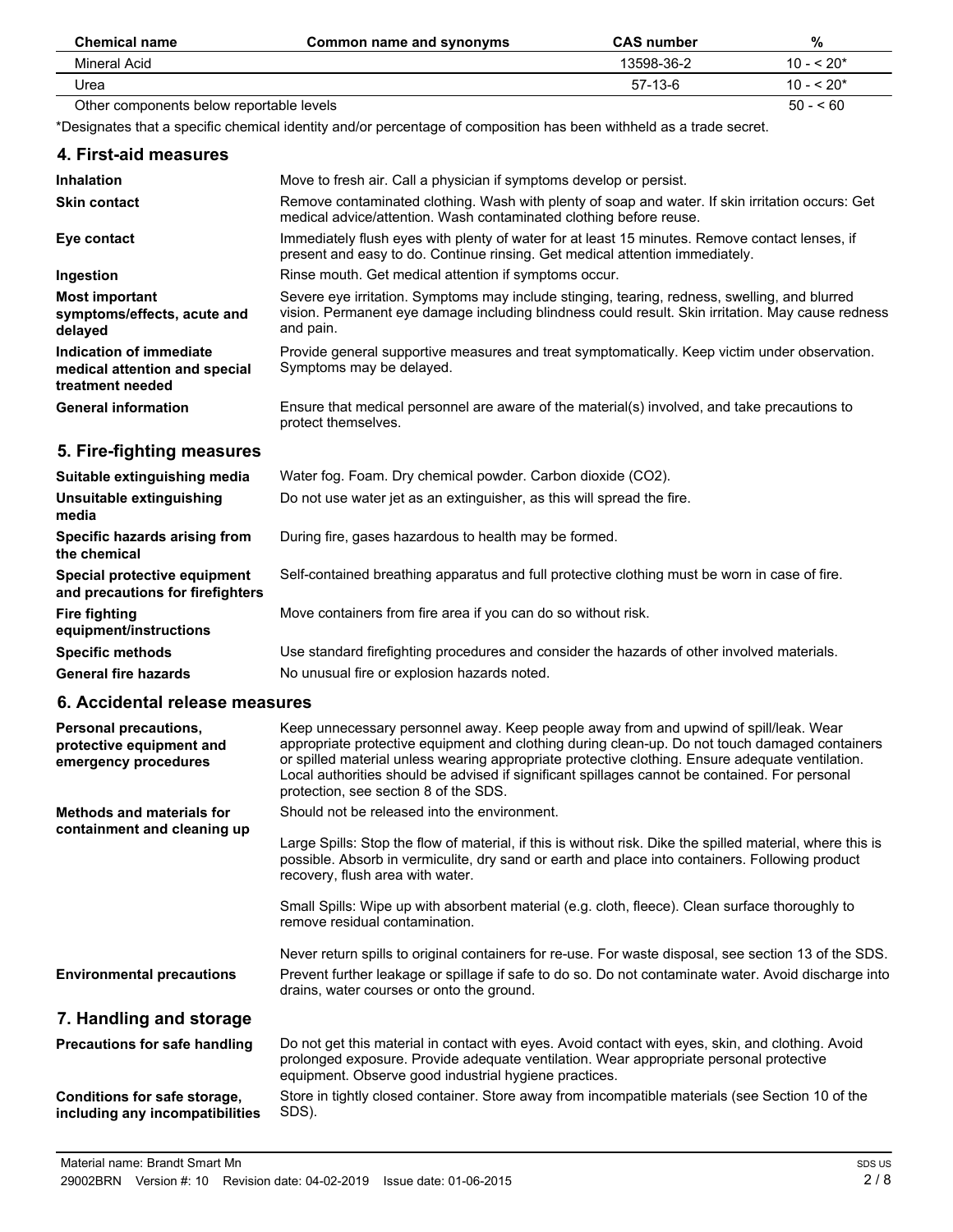| <b>Chemical name</b>                     | Common name and synonyms | <b>CAS</b> number | %           |
|------------------------------------------|--------------------------|-------------------|-------------|
| Mineral Acid                             |                          | 13598-36-2        | $10 - 520*$ |
| Urea                                     |                          | 57-13-6           | $10 - 520*$ |
| Other components below reportable levels |                          |                   | $50 - 60$   |

\*Designates that a specific chemical identity and/or percentage of composition has been withheld as a trade secret.

| 4. First-aid measures                                                        |                                                                                                                                                                                                                 |
|------------------------------------------------------------------------------|-----------------------------------------------------------------------------------------------------------------------------------------------------------------------------------------------------------------|
| <b>Inhalation</b>                                                            | Move to fresh air. Call a physician if symptoms develop or persist.                                                                                                                                             |
| <b>Skin contact</b>                                                          | Remove contaminated clothing. Wash with plenty of soap and water. If skin irritation occurs: Get<br>medical advice/attention. Wash contaminated clothing before reuse.                                          |
| Eye contact                                                                  | Immediately flush eyes with plenty of water for at least 15 minutes. Remove contact lenses, if<br>present and easy to do. Continue rinsing. Get medical attention immediately.                                  |
| Ingestion                                                                    | Rinse mouth. Get medical attention if symptoms occur.                                                                                                                                                           |
| <b>Most important</b><br>symptoms/effects, acute and<br>delayed              | Severe eye irritation. Symptoms may include stinging, tearing, redness, swelling, and blurred<br>vision. Permanent eye damage including blindness could result. Skin irritation. May cause redness<br>and pain. |
| Indication of immediate<br>medical attention and special<br>treatment needed | Provide general supportive measures and treat symptomatically. Keep victim under observation.<br>Symptoms may be delayed.                                                                                       |
| <b>General information</b>                                                   | Ensure that medical personnel are aware of the material(s) involved, and take precautions to<br>protect themselves.                                                                                             |

# **5. Fire-fighting measures**

| Suitable extinguishing media                                     | Water fog. Foam. Dry chemical powder. Carbon dioxide (CO2).                                   |
|------------------------------------------------------------------|-----------------------------------------------------------------------------------------------|
| Unsuitable extinguishing<br>media                                | Do not use water jet as an extinguisher, as this will spread the fire.                        |
| Specific hazards arising from<br>the chemical                    | During fire, gases hazardous to health may be formed.                                         |
| Special protective equipment<br>and precautions for firefighters | Self-contained breathing apparatus and full protective clothing must be worn in case of fire. |
| <b>Fire fighting</b><br>equipment/instructions                   | Move containers from fire area if you can do so without risk.                                 |
| <b>Specific methods</b>                                          | Use standard firefighting procedures and consider the hazards of other involved materials.    |
| <b>General fire hazards</b>                                      | No unusual fire or explosion hazards noted.                                                   |

#### **6. Accidental release measures**

| Personal precautions,<br>protective equipment and<br>emergency procedures | Keep unnecessary personnel away. Keep people away from and upwind of spill/leak. Wear<br>appropriate protective equipment and clothing during clean-up. Do not touch damaged containers<br>or spilled material unless wearing appropriate protective clothing. Ensure adequate ventilation.<br>Local authorities should be advised if significant spillages cannot be contained. For personal<br>protection, see section 8 of the SDS. |
|---------------------------------------------------------------------------|----------------------------------------------------------------------------------------------------------------------------------------------------------------------------------------------------------------------------------------------------------------------------------------------------------------------------------------------------------------------------------------------------------------------------------------|
| Methods and materials for                                                 | Should not be released into the environment.                                                                                                                                                                                                                                                                                                                                                                                           |
| containment and cleaning up                                               | Large Spills: Stop the flow of material, if this is without risk. Dike the spilled material, where this is<br>possible. Absorb in vermiculite, dry sand or earth and place into containers. Following product<br>recovery, flush area with water.                                                                                                                                                                                      |
|                                                                           | Small Spills: Wipe up with absorbent material (e.g. cloth, fleece). Clean surface thoroughly to<br>remove residual contamination.                                                                                                                                                                                                                                                                                                      |
|                                                                           | Never return spills to original containers for re-use. For waste disposal, see section 13 of the SDS.                                                                                                                                                                                                                                                                                                                                  |
| <b>Environmental precautions</b>                                          | Prevent further leakage or spillage if safe to do so. Do not contaminate water. Avoid discharge into<br>drains, water courses or onto the ground.                                                                                                                                                                                                                                                                                      |
| 7. Handling and storage                                                   |                                                                                                                                                                                                                                                                                                                                                                                                                                        |
| <b>Precautions for safe handling</b>                                      | Do not get this material in contact with eyes. Avoid contact with eyes, skin, and clothing. Avoid<br>prolonged exposure. Provide adequate ventilation. Wear appropriate personal protective<br>equipment. Observe good industrial hygiene practices.                                                                                                                                                                                   |
| Conditions for safe storage,<br>including any incompatibilities           | Store in tightly closed container. Store away from incompatible materials (see Section 10 of the<br>SDS).                                                                                                                                                                                                                                                                                                                              |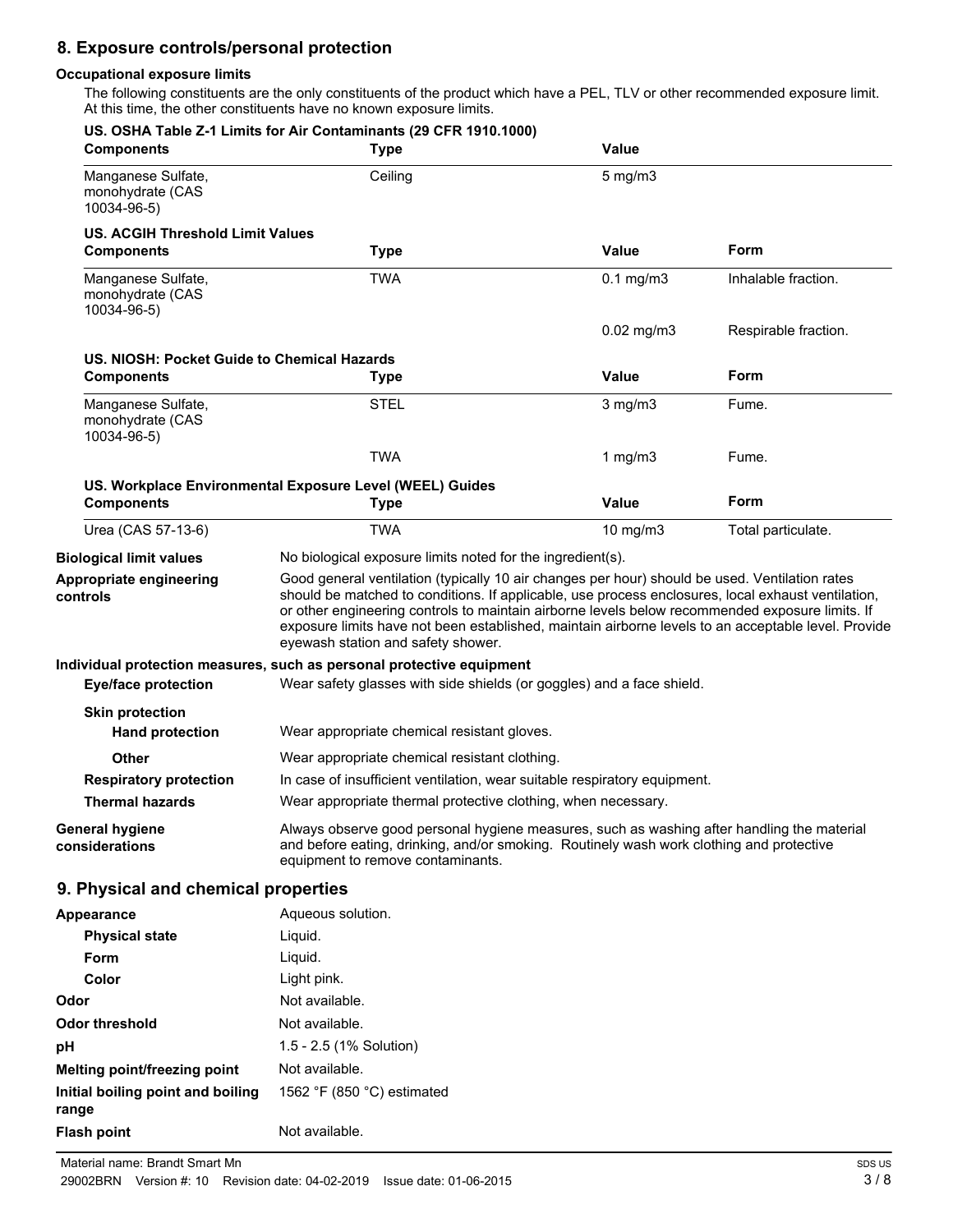# **8. Exposure controls/personal protection**

#### **Occupational exposure limits**

The following constituents are the only constituents of the product which have a PEL, TLV or other recommended exposure limit. At this time, the other constituents have no known exposure limits.

| <b>Components</b>                                     | US. OSHA Table Z-1 Limits for Air Contaminants (29 CFR 1910.1000)<br><b>Type</b>                                                                                                                                                                                                                                                                                                                                                                     | <b>Value</b>     |                      |
|-------------------------------------------------------|------------------------------------------------------------------------------------------------------------------------------------------------------------------------------------------------------------------------------------------------------------------------------------------------------------------------------------------------------------------------------------------------------------------------------------------------------|------------------|----------------------|
| Manganese Sulfate,<br>monohydrate (CAS<br>10034-96-5) | Ceiling                                                                                                                                                                                                                                                                                                                                                                                                                                              | $5 \text{ mg/m}$ |                      |
| <b>US. ACGIH Threshold Limit Values</b>               |                                                                                                                                                                                                                                                                                                                                                                                                                                                      |                  |                      |
| <b>Components</b>                                     | <b>Type</b>                                                                                                                                                                                                                                                                                                                                                                                                                                          | <b>Value</b>     | Form                 |
| Manganese Sulfate,<br>monohydrate (CAS<br>10034-96-5) | <b>TWA</b>                                                                                                                                                                                                                                                                                                                                                                                                                                           | $0.1$ mg/m $3$   | Inhalable fraction.  |
|                                                       |                                                                                                                                                                                                                                                                                                                                                                                                                                                      | $0.02$ mg/m $3$  | Respirable fraction. |
| US. NIOSH: Pocket Guide to Chemical Hazards           |                                                                                                                                                                                                                                                                                                                                                                                                                                                      |                  |                      |
| <b>Components</b>                                     | <b>Type</b>                                                                                                                                                                                                                                                                                                                                                                                                                                          | <b>Value</b>     | Form                 |
| Manganese Sulfate,<br>monohydrate (CAS<br>10034-96-5) | <b>STEL</b>                                                                                                                                                                                                                                                                                                                                                                                                                                          | $3$ mg/m $3$     | Fume.                |
|                                                       | <b>TWA</b>                                                                                                                                                                                                                                                                                                                                                                                                                                           | 1 mg/m $3$       | Fume.                |
|                                                       | US. Workplace Environmental Exposure Level (WEEL) Guides                                                                                                                                                                                                                                                                                                                                                                                             |                  |                      |
| <b>Components</b>                                     | <b>Type</b>                                                                                                                                                                                                                                                                                                                                                                                                                                          | <b>Value</b>     | Form                 |
| Urea (CAS 57-13-6)                                    | <b>TWA</b>                                                                                                                                                                                                                                                                                                                                                                                                                                           | 10 mg/m3         | Total particulate.   |
| <b>Biological limit values</b>                        | No biological exposure limits noted for the ingredient(s).                                                                                                                                                                                                                                                                                                                                                                                           |                  |                      |
| Appropriate engineering<br>controls                   | Good general ventilation (typically 10 air changes per hour) should be used. Ventilation rates<br>should be matched to conditions. If applicable, use process enclosures, local exhaust ventilation,<br>or other engineering controls to maintain airborne levels below recommended exposure limits. If<br>exposure limits have not been established, maintain airborne levels to an acceptable level. Provide<br>eyewash station and safety shower. |                  |                      |
|                                                       | Individual protection measures, such as personal protective equipment                                                                                                                                                                                                                                                                                                                                                                                |                  |                      |
| <b>Eye/face protection</b>                            | Wear safety glasses with side shields (or goggles) and a face shield.                                                                                                                                                                                                                                                                                                                                                                                |                  |                      |
| <b>Skin protection</b><br><b>Hand protection</b>      | Wear appropriate chemical resistant gloves.                                                                                                                                                                                                                                                                                                                                                                                                          |                  |                      |
| <b>Other</b>                                          | Wear appropriate chemical resistant clothing.                                                                                                                                                                                                                                                                                                                                                                                                        |                  |                      |
| <b>Respiratory protection</b>                         | In case of insufficient ventilation, wear suitable respiratory equipment.                                                                                                                                                                                                                                                                                                                                                                            |                  |                      |
| <b>Thermal hazards</b>                                | Wear appropriate thermal protective clothing, when necessary.                                                                                                                                                                                                                                                                                                                                                                                        |                  |                      |
| General hygiene<br>considerations                     | Always observe good personal hygiene measures, such as washing after handling the material<br>and before eating, drinking, and/or smoking. Routinely wash work clothing and protective<br>equipment to remove contaminants.                                                                                                                                                                                                                          |                  |                      |
| 9. Physical and chemical properties                   |                                                                                                                                                                                                                                                                                                                                                                                                                                                      |                  |                      |
| Appearance                                            | Aqueous solution.                                                                                                                                                                                                                                                                                                                                                                                                                                    |                  |                      |
| <b>Physical state</b>                                 | Liquid.                                                                                                                                                                                                                                                                                                                                                                                                                                              |                  |                      |
| Form                                                  | Liquid.                                                                                                                                                                                                                                                                                                                                                                                                                                              |                  |                      |
| Color                                                 | Light pink.                                                                                                                                                                                                                                                                                                                                                                                                                                          |                  |                      |
| Odor                                                  | Not available.                                                                                                                                                                                                                                                                                                                                                                                                                                       |                  |                      |
| <b>Odor threshold</b>                                 | Not available.                                                                                                                                                                                                                                                                                                                                                                                                                                       |                  |                      |
| рH                                                    | 1.5 - 2.5 (1% Solution)                                                                                                                                                                                                                                                                                                                                                                                                                              |                  |                      |
| Melting point/freezing point                          | Not available.                                                                                                                                                                                                                                                                                                                                                                                                                                       |                  |                      |
| Initial boiling point and boiling<br>range            | 1562 °F (850 °C) estimated                                                                                                                                                                                                                                                                                                                                                                                                                           |                  |                      |
| <b>Flash point</b>                                    | Not available.                                                                                                                                                                                                                                                                                                                                                                                                                                       |                  |                      |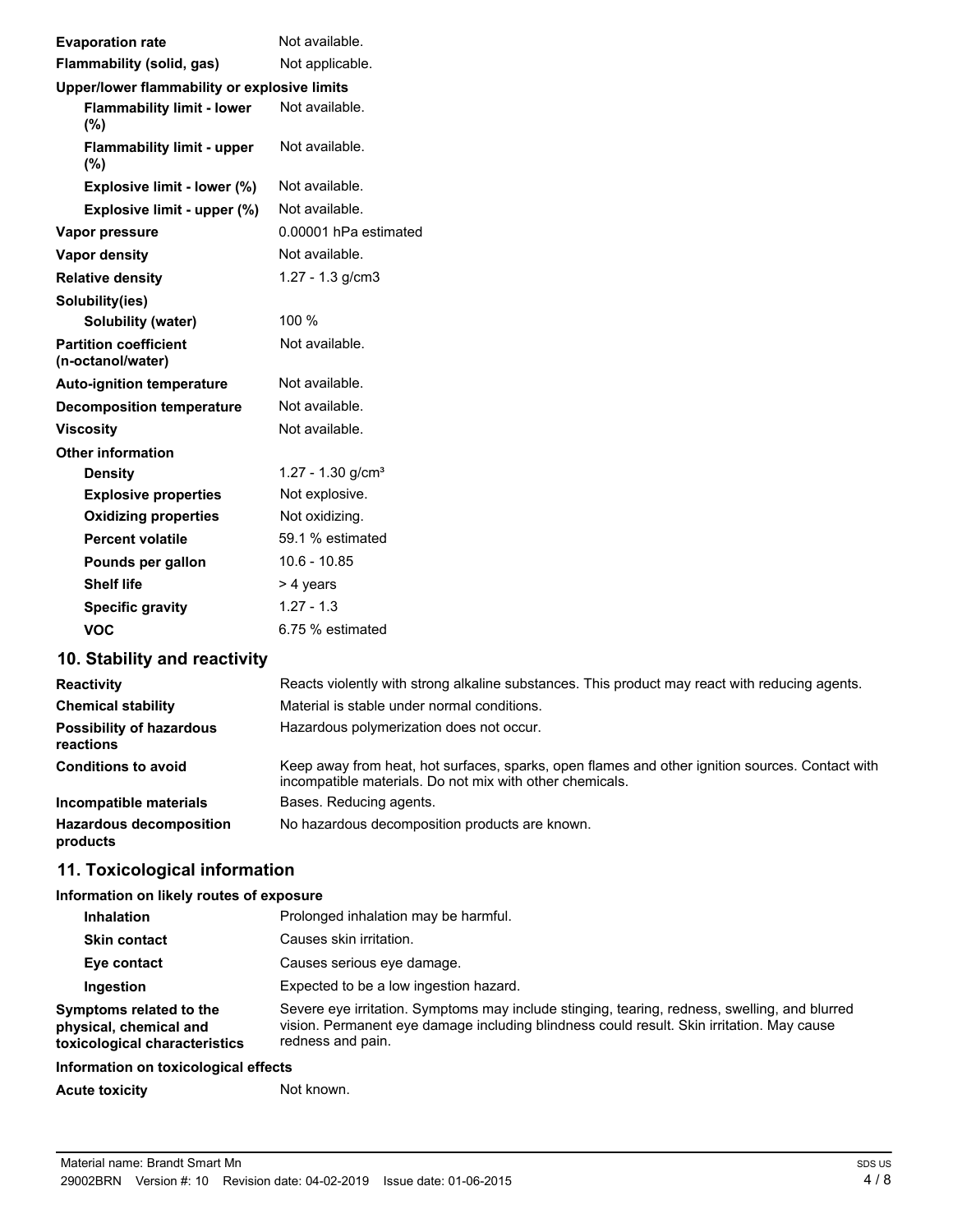| <b>Evaporation rate</b>                           | Not available.                  |  |  |  |  |
|---------------------------------------------------|---------------------------------|--|--|--|--|
| Flammability (solid, gas)                         | Not applicable.                 |  |  |  |  |
| Upper/lower flammability or explosive limits      |                                 |  |  |  |  |
| <b>Flammability limit - lower</b><br>(%)          | Not available.                  |  |  |  |  |
| <b>Flammability limit - upper</b><br>(%)          | Not available.                  |  |  |  |  |
| Explosive limit - lower (%)                       | Not available.                  |  |  |  |  |
| Explosive limit - upper (%)                       | Not available.                  |  |  |  |  |
| Vapor pressure                                    | 0.00001 hPa estimated           |  |  |  |  |
| Vapor density                                     | Not available.                  |  |  |  |  |
| <b>Relative density</b>                           | $1.27 - 1.3$ g/cm3              |  |  |  |  |
| Solubility(ies)                                   |                                 |  |  |  |  |
| Solubility (water)                                | 100 %                           |  |  |  |  |
| <b>Partition coefficient</b><br>(n-octanol/water) | Not available.                  |  |  |  |  |
| <b>Auto-ignition temperature</b>                  | Not available.                  |  |  |  |  |
| <b>Decomposition temperature</b>                  | Not available.                  |  |  |  |  |
| <b>Viscosity</b>                                  | Not available.                  |  |  |  |  |
| <b>Other information</b>                          |                                 |  |  |  |  |
| <b>Density</b>                                    | $1.27 - 1.30$ g/cm <sup>3</sup> |  |  |  |  |
| <b>Explosive properties</b>                       | Not explosive.                  |  |  |  |  |
| <b>Oxidizing properties</b>                       | Not oxidizing.                  |  |  |  |  |
| <b>Percent volatile</b>                           | 59.1 % estimated                |  |  |  |  |
| Pounds per gallon                                 | $10.6 - 10.85$                  |  |  |  |  |
| <b>Shelf life</b>                                 | > 4 years                       |  |  |  |  |
| <b>Specific gravity</b>                           | $1.27 - 1.3$                    |  |  |  |  |
| <b>VOC</b>                                        | 6.75 % estimated                |  |  |  |  |

# **10. Stability and reactivity**

| <b>Reactivity</b>                            | Reacts violently with strong alkaline substances. This product may react with reducing agents.                                                              |
|----------------------------------------------|-------------------------------------------------------------------------------------------------------------------------------------------------------------|
| <b>Chemical stability</b>                    | Material is stable under normal conditions.                                                                                                                 |
| <b>Possibility of hazardous</b><br>reactions | Hazardous polymerization does not occur.                                                                                                                    |
| <b>Conditions to avoid</b>                   | Keep away from heat, hot surfaces, sparks, open flames and other ignition sources. Contact with<br>incompatible materials. Do not mix with other chemicals. |
| Incompatible materials                       | Bases. Reducing agents.                                                                                                                                     |
| <b>Hazardous decomposition</b><br>products   | No hazardous decomposition products are known.                                                                                                              |

# **11. Toxicological information**

#### **Information on likely routes of exposure**

| Inhalation                                                                         | Prolonged inhalation may be harmful.                                                                                                                                                                            |
|------------------------------------------------------------------------------------|-----------------------------------------------------------------------------------------------------------------------------------------------------------------------------------------------------------------|
| <b>Skin contact</b>                                                                | Causes skin irritation.                                                                                                                                                                                         |
| Eye contact                                                                        | Causes serious eye damage.                                                                                                                                                                                      |
| Ingestion                                                                          | Expected to be a low ingestion hazard.                                                                                                                                                                          |
| Symptoms related to the<br>physical, chemical and<br>toxicological characteristics | Severe eye irritation. Symptoms may include stinging, tearing, redness, swelling, and blurred<br>vision. Permanent eye damage including blindness could result. Skin irritation. May cause<br>redness and pain. |
| Information on toxicological effects                                               |                                                                                                                                                                                                                 |

| <b>Acute toxicity</b> | Not known. |
|-----------------------|------------|
|-----------------------|------------|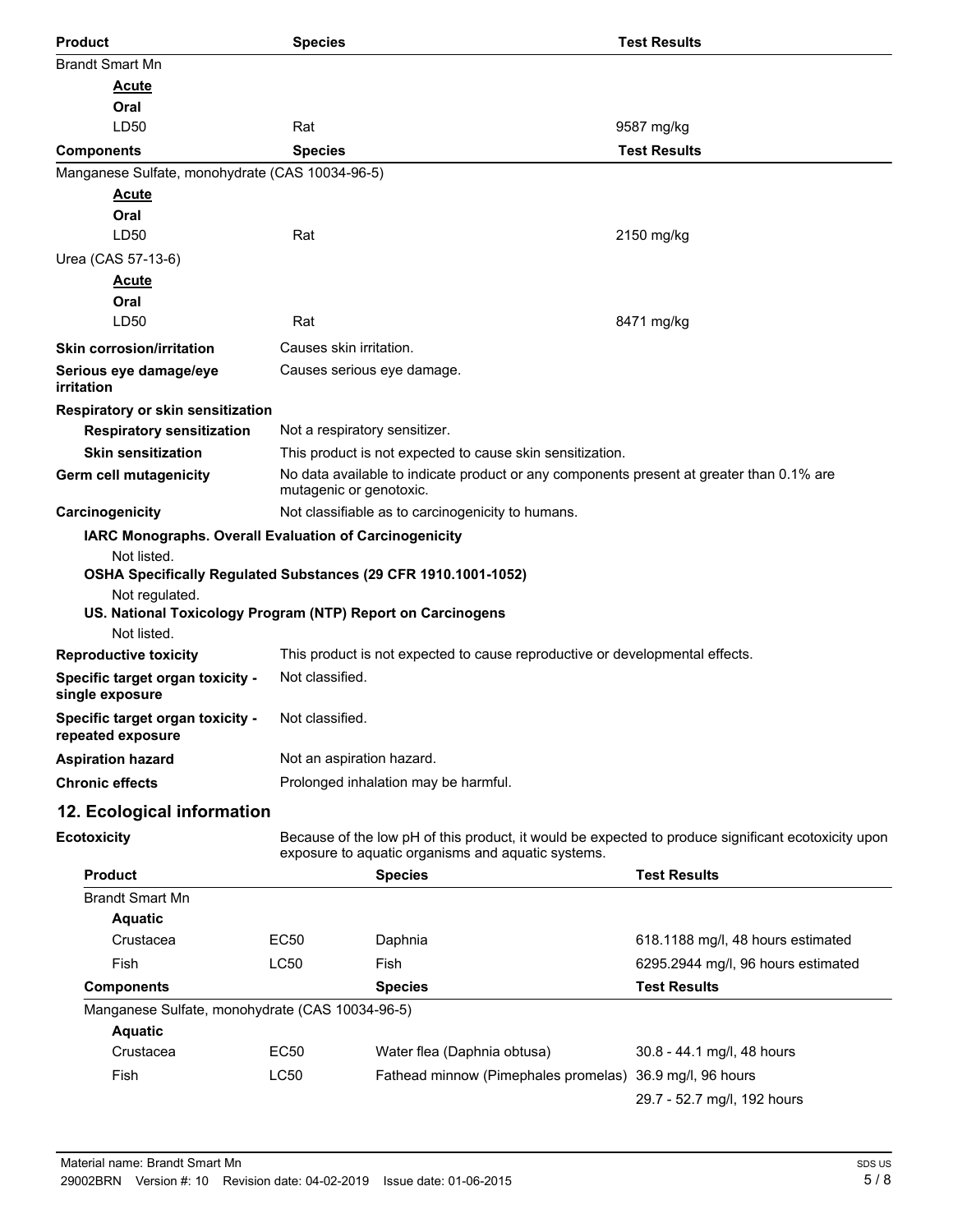| <b>Product</b>                                                                | <b>Species</b>                |                                                                                          | <b>Test Results</b>                                                                                 |
|-------------------------------------------------------------------------------|-------------------------------|------------------------------------------------------------------------------------------|-----------------------------------------------------------------------------------------------------|
| <b>Brandt Smart Mn</b>                                                        |                               |                                                                                          |                                                                                                     |
| <u>Acute</u>                                                                  |                               |                                                                                          |                                                                                                     |
| Oral                                                                          |                               |                                                                                          |                                                                                                     |
| LD50                                                                          | Rat                           |                                                                                          | 9587 mg/kg                                                                                          |
| <b>Components</b>                                                             | <b>Species</b>                |                                                                                          | <b>Test Results</b>                                                                                 |
| Manganese Sulfate, monohydrate (CAS 10034-96-5)                               |                               |                                                                                          |                                                                                                     |
| <b>Acute</b><br>Oral                                                          |                               |                                                                                          |                                                                                                     |
| LD50                                                                          | Rat                           |                                                                                          | 2150 mg/kg                                                                                          |
| Urea (CAS 57-13-6)                                                            |                               |                                                                                          |                                                                                                     |
| <b>Acute</b>                                                                  |                               |                                                                                          |                                                                                                     |
| Oral                                                                          |                               |                                                                                          |                                                                                                     |
| LD50                                                                          | Rat                           |                                                                                          | 8471 mg/kg                                                                                          |
| <b>Skin corrosion/irritation</b>                                              | Causes skin irritation.       |                                                                                          |                                                                                                     |
| Serious eye damage/eye<br>irritation                                          |                               | Causes serious eye damage.                                                               |                                                                                                     |
| Respiratory or skin sensitization                                             |                               |                                                                                          |                                                                                                     |
| <b>Respiratory sensitization</b>                                              | Not a respiratory sensitizer. |                                                                                          |                                                                                                     |
| <b>Skin sensitization</b>                                                     |                               | This product is not expected to cause skin sensitization.                                |                                                                                                     |
| Germ cell mutagenicity                                                        | mutagenic or genotoxic.       | No data available to indicate product or any components present at greater than 0.1% are |                                                                                                     |
| Carcinogenicity                                                               |                               | Not classifiable as to carcinogenicity to humans.                                        |                                                                                                     |
| IARC Monographs. Overall Evaluation of Carcinogenicity                        |                               |                                                                                          |                                                                                                     |
| Not listed.<br>OSHA Specifically Regulated Substances (29 CFR 1910.1001-1052) |                               |                                                                                          |                                                                                                     |
| Not regulated.<br>US. National Toxicology Program (NTP) Report on Carcinogens |                               |                                                                                          |                                                                                                     |
| Not listed.                                                                   |                               |                                                                                          |                                                                                                     |
| <b>Reproductive toxicity</b>                                                  |                               | This product is not expected to cause reproductive or developmental effects.             |                                                                                                     |
| Specific target organ toxicity -<br>single exposure                           | Not classified.               |                                                                                          |                                                                                                     |
| Specific target organ toxicity -<br>repeated exposure                         | Not classified.               |                                                                                          |                                                                                                     |
| <b>Aspiration hazard</b>                                                      | Not an aspiration hazard.     |                                                                                          |                                                                                                     |
| <b>Chronic effects</b>                                                        |                               | Prolonged inhalation may be harmful.                                                     |                                                                                                     |
| 12. Ecological information                                                    |                               |                                                                                          |                                                                                                     |
| <b>Ecotoxicity</b>                                                            |                               | exposure to aquatic organisms and aquatic systems.                                       | Because of the low pH of this product, it would be expected to produce significant ecotoxicity upon |
| <b>Product</b>                                                                |                               | <b>Species</b>                                                                           | <b>Test Results</b>                                                                                 |
| <b>Brandt Smart Mn</b>                                                        |                               |                                                                                          |                                                                                                     |
| <b>Aquatic</b>                                                                |                               |                                                                                          |                                                                                                     |
| Crustacea                                                                     | <b>EC50</b>                   | Daphnia                                                                                  | 618.1188 mg/l, 48 hours estimated                                                                   |
| Fish                                                                          | LC50                          | Fish                                                                                     | 6295.2944 mg/l, 96 hours estimated                                                                  |
| <b>Components</b>                                                             |                               | <b>Species</b>                                                                           | <b>Test Results</b>                                                                                 |
| Manganese Sulfate, monohydrate (CAS 10034-96-5)                               |                               |                                                                                          |                                                                                                     |
| <b>Aquatic</b>                                                                |                               |                                                                                          |                                                                                                     |
| Crustacea                                                                     | <b>EC50</b>                   | Water flea (Daphnia obtusa)                                                              | 30.8 - 44.1 mg/l, 48 hours                                                                          |
| Fish                                                                          | LC50                          | Fathead minnow (Pimephales promelas) 36.9 mg/l, 96 hours                                 | 29.7 - 52.7 mg/l, 192 hours                                                                         |
|                                                                               |                               |                                                                                          |                                                                                                     |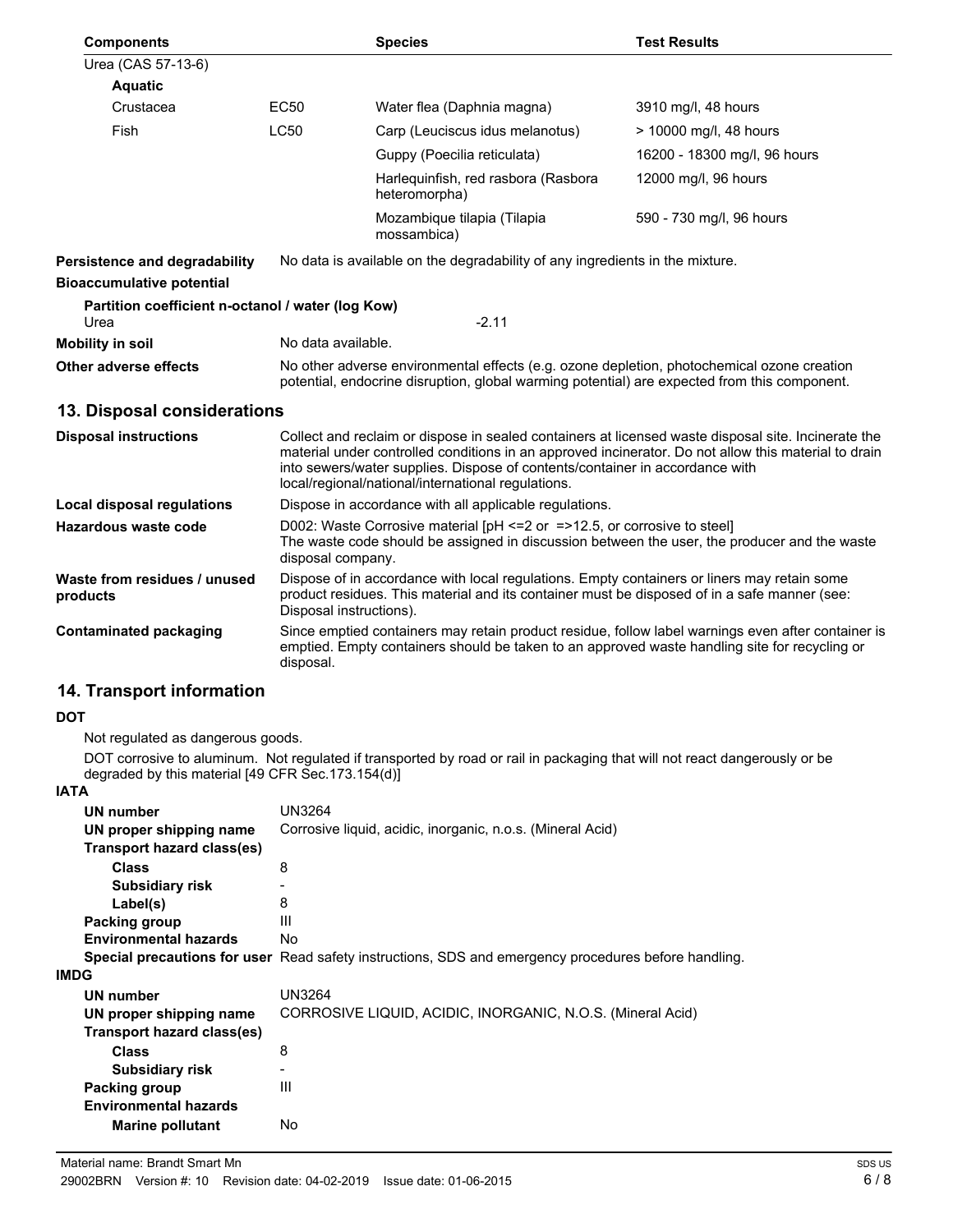| <b>Components</b>                                         |                                                                                                                                                                                                                                                                                                                                                   | <b>Species</b>                                                               | <b>Test Results</b>          |  |
|-----------------------------------------------------------|---------------------------------------------------------------------------------------------------------------------------------------------------------------------------------------------------------------------------------------------------------------------------------------------------------------------------------------------------|------------------------------------------------------------------------------|------------------------------|--|
| Urea (CAS 57-13-6)                                        |                                                                                                                                                                                                                                                                                                                                                   |                                                                              |                              |  |
| <b>Aquatic</b>                                            |                                                                                                                                                                                                                                                                                                                                                   |                                                                              |                              |  |
| Crustacea                                                 | EC50                                                                                                                                                                                                                                                                                                                                              | Water flea (Daphnia magna)                                                   | 3910 mg/l, 48 hours          |  |
| Fish                                                      | <b>LC50</b>                                                                                                                                                                                                                                                                                                                                       | Carp (Leuciscus idus melanotus)                                              | > 10000 mg/l, 48 hours       |  |
|                                                           |                                                                                                                                                                                                                                                                                                                                                   | Guppy (Poecilia reticulata)                                                  | 16200 - 18300 mg/l, 96 hours |  |
|                                                           |                                                                                                                                                                                                                                                                                                                                                   | Harlequinfish, red rasbora (Rasbora<br>heteromorpha)                         | 12000 mg/l, 96 hours         |  |
|                                                           |                                                                                                                                                                                                                                                                                                                                                   | Mozambique tilapia (Tilapia<br>mossambica)                                   | 590 - 730 mg/l, 96 hours     |  |
| Persistence and degradability                             |                                                                                                                                                                                                                                                                                                                                                   | No data is available on the degradability of any ingredients in the mixture. |                              |  |
| <b>Bioaccumulative potential</b>                          |                                                                                                                                                                                                                                                                                                                                                   |                                                                              |                              |  |
| Partition coefficient n-octanol / water (log Kow)<br>Urea |                                                                                                                                                                                                                                                                                                                                                   | $-2.11$                                                                      |                              |  |
| <b>Mobility in soil</b>                                   |                                                                                                                                                                                                                                                                                                                                                   | No data available.                                                           |                              |  |
| Other adverse effects                                     | No other adverse environmental effects (e.g. ozone depletion, photochemical ozone creation<br>potential, endocrine disruption, global warming potential) are expected from this component.                                                                                                                                                        |                                                                              |                              |  |
| 13. Disposal considerations                               |                                                                                                                                                                                                                                                                                                                                                   |                                                                              |                              |  |
| <b>Disposal instructions</b>                              | Collect and reclaim or dispose in sealed containers at licensed waste disposal site. Incinerate the<br>material under controlled conditions in an approved incinerator. Do not allow this material to drain<br>into sewers/water supplies. Dispose of contents/container in accordance with<br>local/regional/national/international regulations. |                                                                              |                              |  |
| <b>Local disposal regulations</b>                         | Dispose in accordance with all applicable regulations.                                                                                                                                                                                                                                                                                            |                                                                              |                              |  |
| Hazardous waste code                                      | D002: Waste Corrosive material [pH <= 2 or = > 12.5, or corrosive to steel]<br>The waste code should be assigned in discussion between the user, the producer and the waste<br>disposal company.                                                                                                                                                  |                                                                              |                              |  |
| Waste from residues / unused<br>products                  | Dispose of in accordance with local regulations. Empty containers or liners may retain some<br>product residues. This material and its container must be disposed of in a safe manner (see:<br>Disposal instructions).                                                                                                                            |                                                                              |                              |  |
| <b>Contaminated packaging</b>                             | Since emptied containers may retain product residue, follow label warnings even after container is<br>emptied. Empty containers should be taken to an approved waste handling site for recycling or<br>disposal.                                                                                                                                  |                                                                              |                              |  |
| 14. Transport information                                 |                                                                                                                                                                                                                                                                                                                                                   |                                                                              |                              |  |
| DOT                                                       |                                                                                                                                                                                                                                                                                                                                                   |                                                                              |                              |  |
| Not regulated as dangerous goods.                         |                                                                                                                                                                                                                                                                                                                                                   |                                                                              |                              |  |

DOT corrosive to aluminum. Not regulated if transported by road or rail in packaging that will not react dangerously or be degraded by this material [49 CFR Sec.173.154(d)]

#### **IATA**

| UN number                    | <b>UN3264</b>                                                                                        |
|------------------------------|------------------------------------------------------------------------------------------------------|
| UN proper shipping name      | Corrosive liquid, acidic, inorganic, n.o.s. (Mineral Acid)                                           |
| Transport hazard class(es)   |                                                                                                      |
| <b>Class</b>                 | 8                                                                                                    |
| <b>Subsidiary risk</b>       |                                                                                                      |
| Label(s)                     | 8                                                                                                    |
| Packing group                | Ш                                                                                                    |
| <b>Environmental hazards</b> | No.                                                                                                  |
|                              | Special precautions for user Read safety instructions, SDS and emergency procedures before handling. |
| <b>IMDG</b>                  |                                                                                                      |
| UN number                    | UN3264                                                                                               |
| UN proper shipping name      | CORROSIVE LIQUID, ACIDIC, INORGANIC, N.O.S. (Mineral Acid)                                           |
| Transport hazard class(es)   |                                                                                                      |
| <b>Class</b>                 | 8                                                                                                    |
| <b>Subsidiary risk</b>       | $\overline{\phantom{0}}$                                                                             |
| Packing group                | Ш                                                                                                    |
| <b>Environmental hazards</b> |                                                                                                      |
| <b>Marine pollutant</b>      | No                                                                                                   |
|                              |                                                                                                      |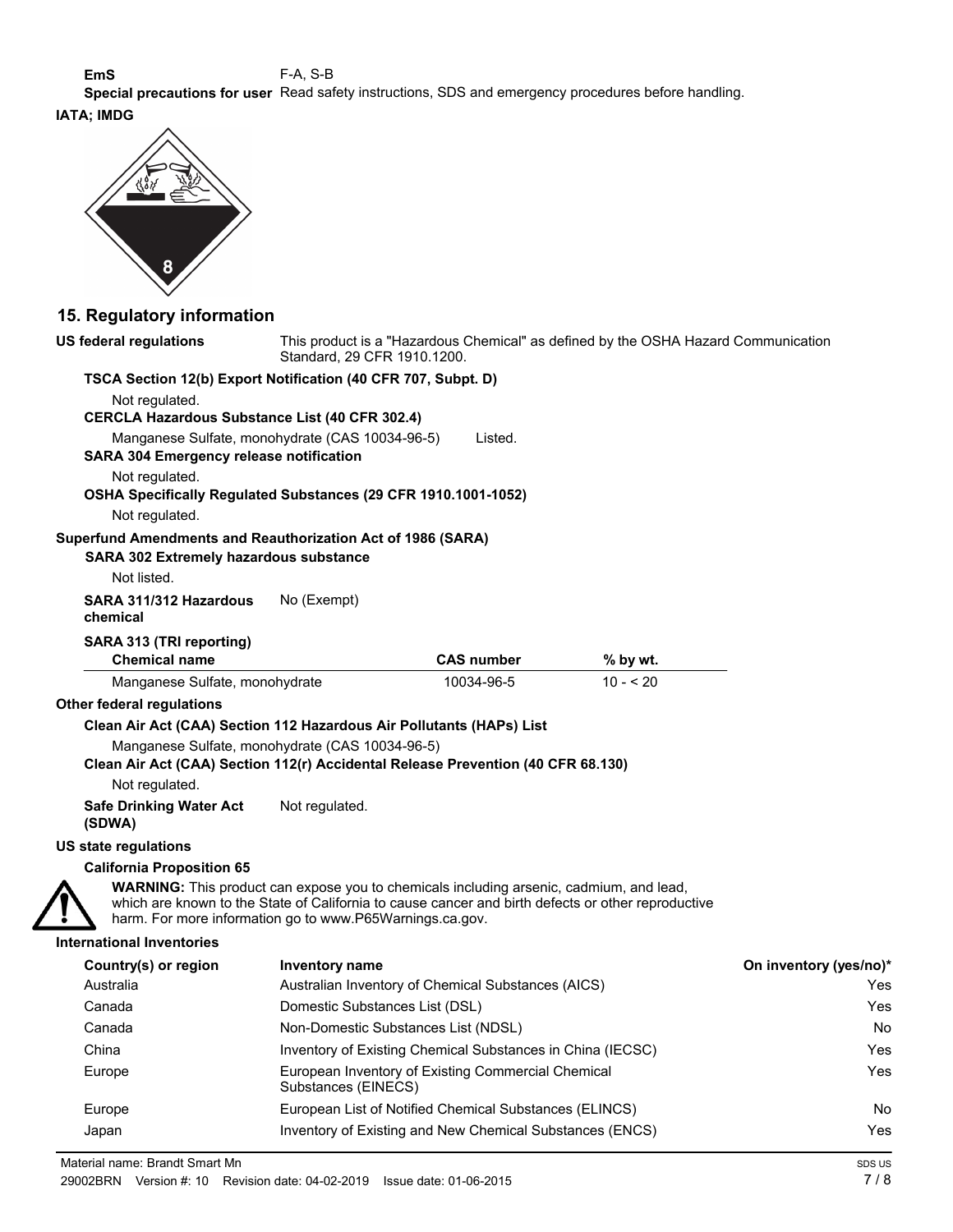**EmS** F-A, S-B

**Special precautions for user** Read safety instructions, SDS and emergency procedures before handling.

# **IATA; IMDG**



#### **15. Regulatory information**

| <b>US federal regulations</b>                                                    | This product is a "Hazardous Chemical" as defined by the OSHA Hazard Communication<br>Standard, 29 CFR 1910.1200.                                   |                                                            |                                                                                                    |                        |
|----------------------------------------------------------------------------------|-----------------------------------------------------------------------------------------------------------------------------------------------------|------------------------------------------------------------|----------------------------------------------------------------------------------------------------|------------------------|
| TSCA Section 12(b) Export Notification (40 CFR 707, Subpt. D)                    |                                                                                                                                                     |                                                            |                                                                                                    |                        |
| Not regulated.                                                                   |                                                                                                                                                     |                                                            |                                                                                                    |                        |
| <b>CERCLA Hazardous Substance List (40 CFR 302.4)</b>                            |                                                                                                                                                     |                                                            |                                                                                                    |                        |
| <b>SARA 304 Emergency release notification</b>                                   | Manganese Sulfate, monohydrate (CAS 10034-96-5)                                                                                                     | Listed.                                                    |                                                                                                    |                        |
| Not regulated.                                                                   |                                                                                                                                                     |                                                            |                                                                                                    |                        |
| OSHA Specifically Regulated Substances (29 CFR 1910.1001-1052)<br>Not regulated. |                                                                                                                                                     |                                                            |                                                                                                    |                        |
| Superfund Amendments and Reauthorization Act of 1986 (SARA)                      |                                                                                                                                                     |                                                            |                                                                                                    |                        |
| <b>SARA 302 Extremely hazardous substance</b>                                    |                                                                                                                                                     |                                                            |                                                                                                    |                        |
| Not listed.                                                                      |                                                                                                                                                     |                                                            |                                                                                                    |                        |
| SARA 311/312 Hazardous<br>chemical                                               | No (Exempt)                                                                                                                                         |                                                            |                                                                                                    |                        |
| SARA 313 (TRI reporting)                                                         |                                                                                                                                                     |                                                            |                                                                                                    |                        |
| <b>Chemical name</b>                                                             |                                                                                                                                                     | <b>CAS number</b>                                          | % by wt.                                                                                           |                        |
| Manganese Sulfate, monohydrate                                                   |                                                                                                                                                     | 10034-96-5                                                 | $10 - 520$                                                                                         |                        |
| Other federal regulations                                                        |                                                                                                                                                     |                                                            |                                                                                                    |                        |
| Clean Air Act (CAA) Section 112 Hazardous Air Pollutants (HAPs) List             |                                                                                                                                                     |                                                            |                                                                                                    |                        |
|                                                                                  | Manganese Sulfate, monohydrate (CAS 10034-96-5)                                                                                                     |                                                            |                                                                                                    |                        |
| Clean Air Act (CAA) Section 112(r) Accidental Release Prevention (40 CFR 68.130) |                                                                                                                                                     |                                                            |                                                                                                    |                        |
| Not regulated.                                                                   |                                                                                                                                                     |                                                            |                                                                                                    |                        |
| <b>Safe Drinking Water Act</b><br>(SDWA)                                         | Not regulated.                                                                                                                                      |                                                            |                                                                                                    |                        |
| US state regulations                                                             |                                                                                                                                                     |                                                            |                                                                                                    |                        |
| <b>California Proposition 65</b>                                                 |                                                                                                                                                     |                                                            |                                                                                                    |                        |
|                                                                                  | WARNING: This product can expose you to chemicals including arsenic, cadmium, and lead,<br>harm. For more information go to www.P65Warnings.ca.gov. |                                                            | which are known to the State of California to cause cancer and birth defects or other reproductive |                        |
| <b>International Inventories</b>                                                 |                                                                                                                                                     |                                                            |                                                                                                    |                        |
| Country(s) or region                                                             | <b>Inventory name</b>                                                                                                                               |                                                            |                                                                                                    | On inventory (yes/no)* |
| Australia                                                                        |                                                                                                                                                     | Australian Inventory of Chemical Substances (AICS)         |                                                                                                    | Yes                    |
| Canada                                                                           | Domestic Substances List (DSL)                                                                                                                      |                                                            |                                                                                                    | Yes                    |
| Canada                                                                           | Non-Domestic Substances List (NDSL)                                                                                                                 |                                                            |                                                                                                    | No                     |
| China                                                                            |                                                                                                                                                     | Inventory of Existing Chemical Substances in China (IECSC) |                                                                                                    | Yes                    |
| Europe                                                                           | Substances (EINECS)                                                                                                                                 | European Inventory of Existing Commercial Chemical         |                                                                                                    | Yes                    |
| Europe                                                                           |                                                                                                                                                     | European List of Notified Chemical Substances (ELINCS)     |                                                                                                    | No                     |
| Japan                                                                            |                                                                                                                                                     | Inventory of Existing and New Chemical Substances (ENCS)   |                                                                                                    | Yes                    |